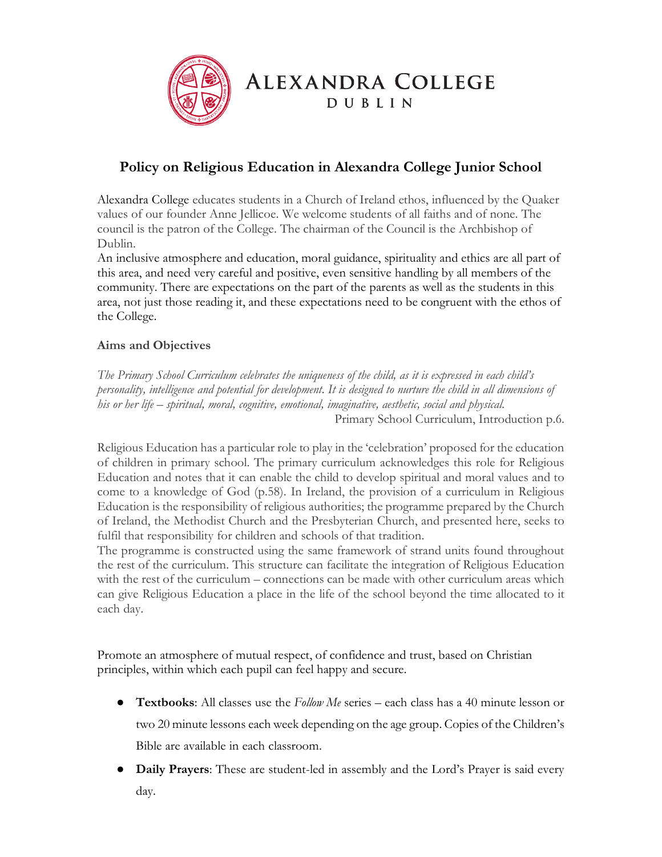

## **Policy on Religious Education in Alexandra College Junior School**

Alexandra College educates students in a Church of Ireland ethos, influenced by the Quaker values of our founder Anne Jellicoe. We welcome students of all faiths and of none. The council is the patron of the College. The chairman of the Council is the Archbishop of Dublin.

An inclusive atmosphere and education, moral guidance, spirituality and ethics are all part of this area, and need very careful and positive, even sensitive handling by all members of the community. There are expectations on the part of the parents as well as the students in this area, not just those reading it, and these expectations need to be congruent with the ethos of the College.

## **Aims and Objectives**

*The Primary School Curriculum celebrates the uniqueness of the child, as it is expressed in each child's personality, intelligence and potential for development. It is designed to nurture the child in all dimensions of his or her life – spiritual, moral, cognitive, emotional, imaginative, aesthetic, social and physical.* Primary School Curriculum, Introduction p.6.

Religious Education has a particular role to play in the 'celebration' proposed for the education of children in primary school. The primary curriculum acknowledges this role for Religious Education and notes that it can enable the child to develop spiritual and moral values and to come to a knowledge of God (p.58). In Ireland, the provision of a curriculum in Religious Education is the responsibility of religious authorities; the programme prepared by the Church of Ireland, the Methodist Church and the Presbyterian Church, and presented here, seeks to fulfil that responsibility for children and schools of that tradition.

The programme is constructed using the same framework of strand units found throughout the rest of the curriculum. This structure can facilitate the integration of Religious Education with the rest of the curriculum – connections can be made with other curriculum areas which can give Religious Education a place in the life of the school beyond the time allocated to it each day.

Promote an atmosphere of mutual respect, of confidence and trust, based on Christian principles, within which each pupil can feel happy and secure.

- **Textbooks**: All classes use the *Follow Me* series each class has a 40 minute lesson or two 20 minute lessons each week depending on the age group. Copies of the Children's Bible are available in each classroom.
- **Daily Prayers**: These are student-led in assembly and the Lord's Prayer is said every day.